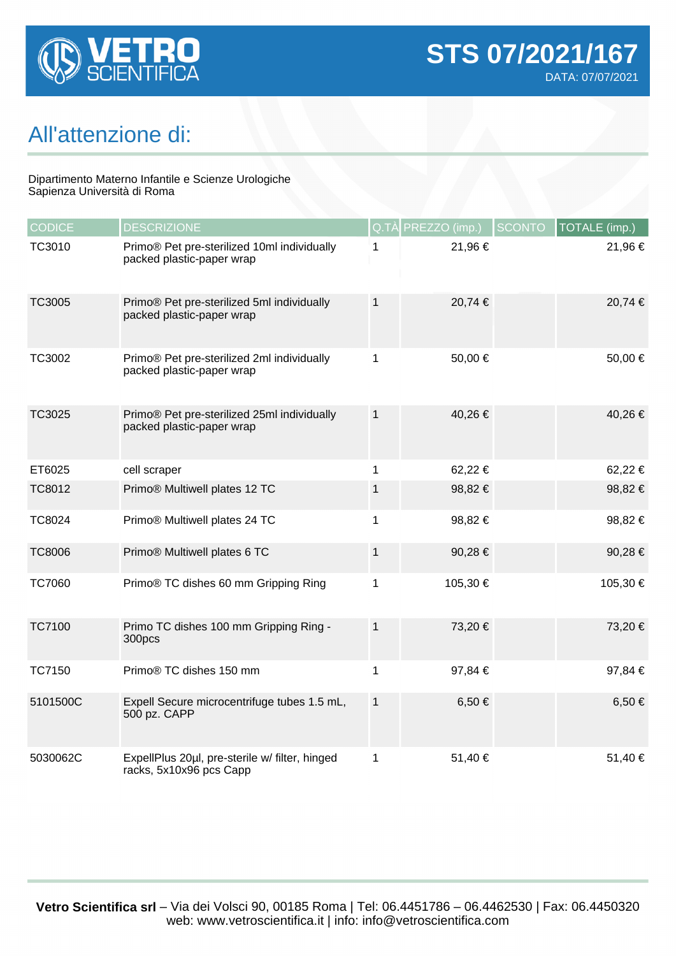

## All'attenzione di:

## Dipartimento Materno Infantile e Scienze Urologiche Sapienza Università di Roma

| <b>CODICE</b> | <b>DESCRIZIONE</b>                                                        |              | Q.TÀ PREZZO (imp.) | <b>SCONTO</b> | TOTALE (imp.) |
|---------------|---------------------------------------------------------------------------|--------------|--------------------|---------------|---------------|
| TC3010        | Primo® Pet pre-sterilized 10ml individually<br>packed plastic-paper wrap  | 1            | 21,96€             |               | 21,96 €       |
| TC3005        | Primo® Pet pre-sterilized 5ml individually<br>packed plastic-paper wrap   | 1            | 20,74 €            |               | 20,74 €       |
| TC3002        | Primo® Pet pre-sterilized 2ml individually<br>packed plastic-paper wrap   | 1            | 50,00€             |               | 50,00 €       |
| TC3025        | Primo® Pet pre-sterilized 25ml individually<br>packed plastic-paper wrap  | $\mathbf{1}$ | 40,26€             |               | 40,26 €       |
| ET6025        | cell scraper                                                              | 1            | 62,22€             |               | 62,22€        |
| <b>TC8012</b> | Primo® Multiwell plates 12 TC                                             | 1            | 98,82€             |               | 98,82€        |
| <b>TC8024</b> | Primo® Multiwell plates 24 TC                                             | 1            | 98,82 €            |               | 98,82€        |
| <b>TC8006</b> | Primo® Multiwell plates 6 TC                                              | $\mathbf{1}$ | 90,28€             |               | 90,28€        |
| <b>TC7060</b> | Primo® TC dishes 60 mm Gripping Ring                                      | 1            | 105,30 €           |               | 105,30 €      |
| <b>TC7100</b> | Primo TC dishes 100 mm Gripping Ring -<br>300pcs                          | $\mathbf{1}$ | 73,20 €            |               | 73,20 €       |
| TC7150        | Primo® TC dishes 150 mm                                                   | 1            | 97,84 €            |               | 97,84 €       |
| 5101500C      | Expell Secure microcentrifuge tubes 1.5 mL,<br>500 pz. CAPP               | $\mathbf 1$  | 6,50 €             |               | $6,50 \in$    |
| 5030062C      | ExpellPlus 20µl, pre-sterile w/ filter, hinged<br>racks, 5x10x96 pcs Capp | 1            | 51,40 €            |               | 51,40 €       |